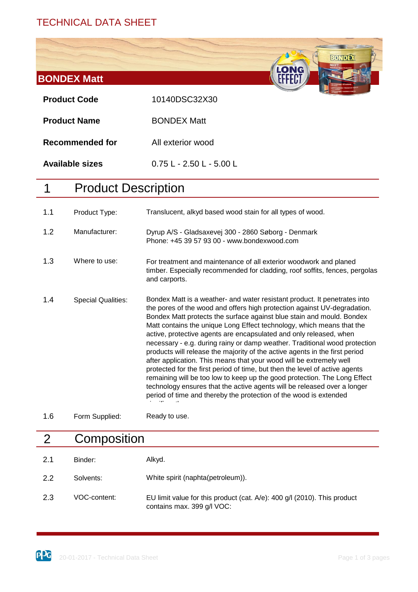# TECHNICAL DATA SHEET



#### 2 **Composition**

| 2.1 | Binder:      | Alkyd.                                                                                                 |
|-----|--------------|--------------------------------------------------------------------------------------------------------|
| 2.2 | Solvents:    | White spirit (naphta(petroleum)).                                                                      |
| 2.3 | VOC-content: | EU limit value for this product (cat. A/e): 400 g/l (2010). This product<br>contains max. 399 g/l VOC: |

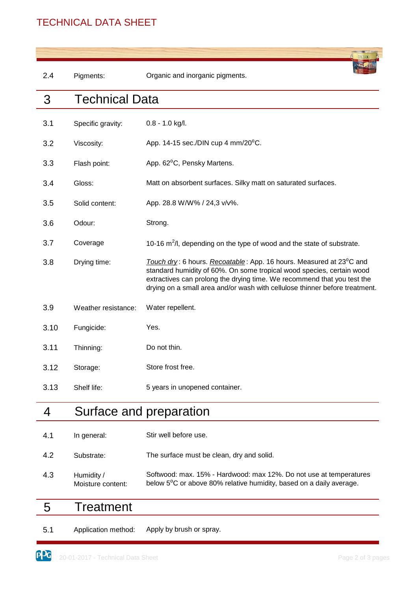# TECHNICAL DATA SHEET

| 2.4  | Pigments:             | Organic and inorganic pigments.                                                                                                                                                                                                                                                                                     |  |
|------|-----------------------|---------------------------------------------------------------------------------------------------------------------------------------------------------------------------------------------------------------------------------------------------------------------------------------------------------------------|--|
| 3    | <b>Technical Data</b> |                                                                                                                                                                                                                                                                                                                     |  |
| 3.1  | Specific gravity:     | $0.8 - 1.0$ kg/l.                                                                                                                                                                                                                                                                                                   |  |
| 3.2  | Viscosity:            | App. 14-15 sec./DIN cup 4 mm/20 $\rm ^{0}C$ .                                                                                                                                                                                                                                                                       |  |
| 3.3  | Flash point:          | App. 62 <sup>°</sup> C, Pensky Martens.                                                                                                                                                                                                                                                                             |  |
| 3.4  | Gloss:                | Matt on absorbent surfaces. Silky matt on saturated surfaces.                                                                                                                                                                                                                                                       |  |
| 3.5  | Solid content:        | App. 28.8 W/W% / 24,3 v/v%.                                                                                                                                                                                                                                                                                         |  |
| 3.6  | Odour:                | Strong.                                                                                                                                                                                                                                                                                                             |  |
| 3.7  | Coverage              | 10-16 $m^2/l$ , depending on the type of wood and the state of substrate.                                                                                                                                                                                                                                           |  |
| 3.8  | Drying time:          | Touch dry: 6 hours. Recoatable: App. 16 hours. Measured at 23 <sup>°</sup> C and<br>standard humidity of 60%. On some tropical wood species, certain wood<br>extractives can prolong the drying time. We recommend that you test the<br>drying on a small area and/or wash with cellulose thinner before treatment. |  |
| 3.9  | Weather resistance:   | Water repellent.                                                                                                                                                                                                                                                                                                    |  |
| 3.10 | Fungicide:            | Yes.                                                                                                                                                                                                                                                                                                                |  |
| 3.11 | Thinning:             | Do not thin.                                                                                                                                                                                                                                                                                                        |  |
| 3.12 | Storage:              | Store frost free.                                                                                                                                                                                                                                                                                                   |  |
| 3.13 | Shelf life:           | 5 years in unopened container.                                                                                                                                                                                                                                                                                      |  |
| 4    |                       | Surface and preparation                                                                                                                                                                                                                                                                                             |  |
| 4.1  | In general:           | Stir well before use.                                                                                                                                                                                                                                                                                               |  |

| 4.2 | Substrate: | The surface must be clean, dry and solid. |
|-----|------------|-------------------------------------------|
|     |            |                                           |

4.3 Softwood: max. 15% - Hardwood: max 12%. Do not use at temperatures below 5<sup>o</sup>C or above 80% relative humidity, based on a daily average. Humidity / Moisture content:

#### 5 **Treatment**

5.1 Application method: Apply by brush or spray.